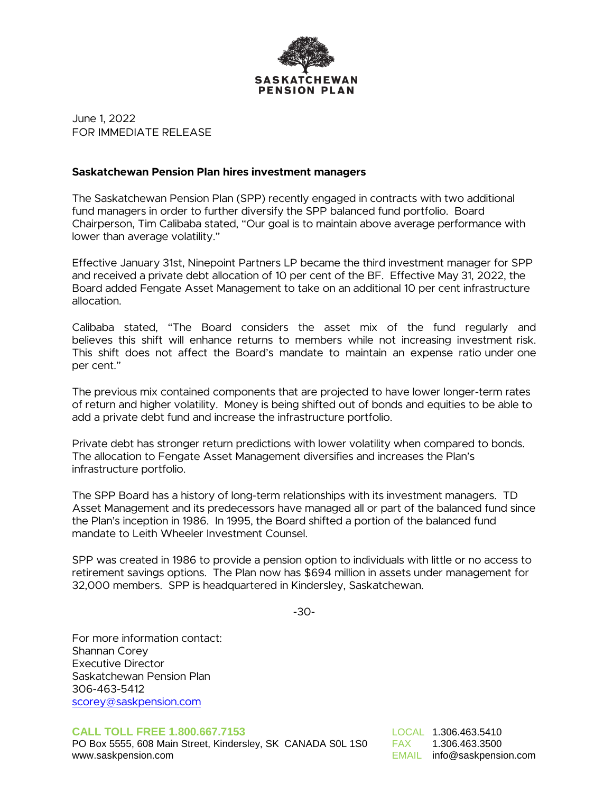

June 1, 2022 FOR IMMEDIATE RELEASE

#### **Saskatchewan Pension Plan hires investment managers**

The Saskatchewan Pension Plan (SPP) recently engaged in contracts with two additional fund managers in order to further diversify the SPP balanced fund portfolio. Board Chairperson, Tim Calibaba stated, "Our goal is to maintain above average performance with lower than average volatility."

Effective January 31st, Ninepoint Partners LP became the third investment manager for SPP and received a private debt allocation of 10 per cent of the BF. Effective May 31, 2022, the Board added Fengate Asset Management to take on an additional 10 per cent infrastructure allocation.

Calibaba stated, "The Board considers the asset mix of the fund regularly and believes this shift will enhance returns to members while not increasing investment risk. This shift does not affect the Board's mandate to maintain an expense ratio under one per cent."

The previous mix contained components that are projected to have lower longer-term rates of return and higher volatility. Money is being shifted out of bonds and equities to be able to add a private debt fund and increase the infrastructure portfolio.

Private debt has stronger return predictions with lower volatility when compared to bonds. The allocation to Fengate Asset Management diversifies and increases the Plan's infrastructure portfolio.

The SPP Board has a history of long-term relationships with its investment managers. TD Asset Management and its predecessors have managed all or part of the balanced fund since the Plan's inception in 1986. In 1995, the Board shifted a portion of the balanced fund mandate to Leith Wheeler Investment Counsel.

SPP was created in 1986 to provide a pension option to individuals with little or no access to retirement savings options. The Plan now has \$694 million in assets under management for 32,000 members. SPP is headquartered in Kindersley, Saskatchewan.

-30-

For more information contact: Shannan Corey Executive Director Saskatchewan Pension Plan [306-463-5412](mailto:scorey@saskpension.com) scorey@saskpension.com